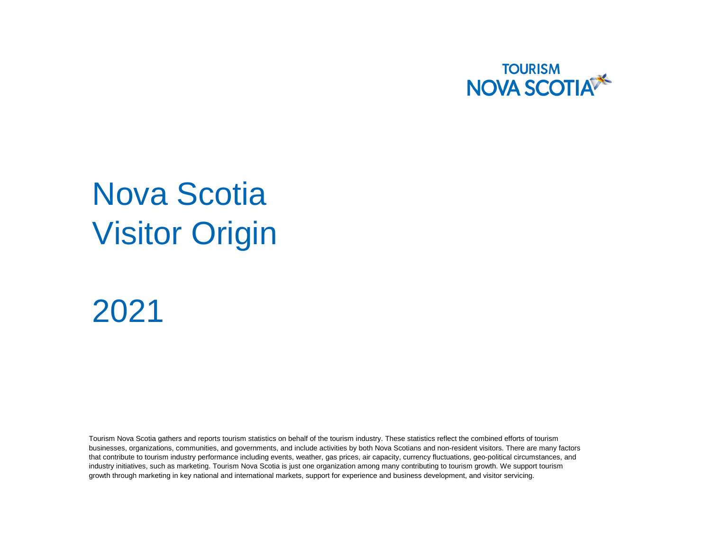

## Nova Scotia Visitor Origin

## 2021

Tourism Nova Scotia gathers and reports tourism statistics on behalf of the tourism industry. These statistics reflect the combined efforts of tourism businesses, organizations, communities, and governments, and include activities by both Nova Scotians and non-resident visitors. There are many factors that contribute to tourism industry performance including events, weather, gas prices, air capacity, currency fluctuations, geo-political circumstances, and industry initiatives, such as marketing. Tourism Nova Scotia is just one organization among many contributing to tourism growth. We support tourism growth through marketing in key national and international markets, support for experience and business development, and visitor servicing.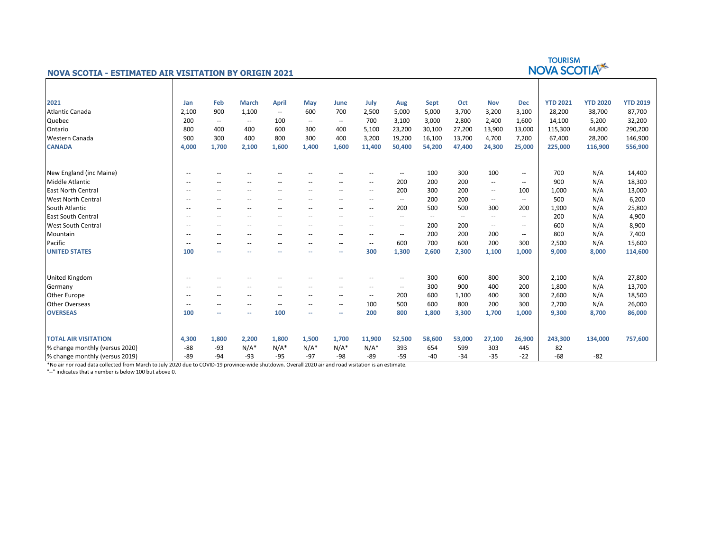|                                                              |                          |                          |                          |                          |                          |                          |                          |                          |                          | <b>TOURISM</b><br>NOVA SCOTIA |            |                          |                 |                 |                 |
|--------------------------------------------------------------|--------------------------|--------------------------|--------------------------|--------------------------|--------------------------|--------------------------|--------------------------|--------------------------|--------------------------|-------------------------------|------------|--------------------------|-----------------|-----------------|-----------------|
| <b>NOVA SCOTIA - ESTIMATED AIR VISITATION BY ORIGIN 2021</b> |                          |                          |                          |                          |                          |                          |                          |                          |                          |                               |            |                          |                 |                 |                 |
|                                                              |                          |                          |                          |                          |                          |                          |                          |                          |                          |                               |            |                          |                 |                 |                 |
| 2021                                                         | Jan                      | Feb                      | <b>March</b>             | <b>April</b>             | May                      | June                     | July                     | Aug                      | <b>Sept</b>              | Oct                           | <b>Nov</b> | <b>Dec</b>               | <b>YTD 2021</b> | <b>YTD 2020</b> | <b>YTD 2019</b> |
| <b>Atlantic Canada</b>                                       | 2,100                    | 900                      | 1,100                    | $\overline{\phantom{a}}$ | 600                      | 700                      | 2,500                    | 5,000                    | 5,000                    | 3,700                         | 3,200      | 3,100                    | 28,200          | 38,700          | 87,700          |
| Quebec                                                       | 200                      | $\overline{\phantom{a}}$ | $\overline{\phantom{a}}$ | 100                      | $\qquad \qquad -$        | $\overline{\phantom{a}}$ | 700                      | 3,100                    | 3,000                    | 2,800                         | 2,400      | 1,600                    | 14,100          | 5,200           | 32,200          |
| Ontario                                                      | 800                      | 400                      | 400                      | 600                      | 300                      | 400                      | 5,100                    | 23,200                   | 30,100                   | 27,200                        | 13,900     | 13,000                   | 115,300         | 44,800          | 290,200         |
| Western Canada                                               | 900                      | 300                      | 400                      | 800                      | 300                      | 400                      | 3,200                    | 19,200                   | 16,100                   | 13,700                        | 4,700      | 7,200                    | 67,400          | 28,200          | 146,900         |
| <b>CANADA</b>                                                | 4,000                    | 1,700                    | 2,100                    | 1,600                    | 1,400                    | 1,600                    | 11,400                   | 50,400                   | 54,200                   | 47,400                        | 24,300     | 25,000                   | 225,000         | 116,900         | 556,900         |
| New England (inc Maine)                                      | --                       | --                       | --                       | $-$                      | $-$                      | $-$                      | $-$                      | $\overline{\phantom{a}}$ | 100                      | 300                           | 100        | $\sim$                   | 700             | N/A             | 14,400          |
| <b>Middle Atlantic</b>                                       | $-$                      |                          | --                       | $-$                      | $-$                      | --                       | --                       | 200                      | 200                      | 200                           | --         | $\overline{\phantom{a}}$ | 900             | N/A             | 18,300          |
| <b>East North Central</b>                                    | $\overline{\phantom{a}}$ | --                       | --                       | --                       | ۰.                       | --                       | --                       | 200                      | 300                      | 200                           | --         | 100                      | 1,000           | N/A             | 13,000          |
| <b>West North Central</b>                                    | $\overline{\phantom{a}}$ | $\overline{\phantom{m}}$ | --                       | --                       | ۰.                       | --                       | $-$                      | $\overline{\phantom{a}}$ | 200                      | 200                           | --         | $\sim$                   | 500             | N/A             | 6,200           |
| South Atlantic                                               | $\overline{\phantom{a}}$ | $\overline{\phantom{a}}$ | --                       | $\overline{\phantom{a}}$ | $-$                      | $\overline{\phantom{a}}$ | $-$                      | 200                      | 500                      | 500                           | 300        | 200                      | 1.900           | N/A             | 25,800          |
| <b>East South Central</b>                                    | $\overline{\phantom{a}}$ | $\overline{\phantom{m}}$ | --                       | --                       | $-$                      | $\overline{\phantom{a}}$ | $-$                      | --                       | $\overline{\phantom{a}}$ | $\overline{\phantom{a}}$      | --         | $\overline{\phantom{a}}$ | 200             | N/A             | 4,900           |
| <b>West South Central</b>                                    | $\overline{\phantom{a}}$ | --                       | --                       | $\overline{\phantom{a}}$ | ۰.                       | $\overline{\phantom{m}}$ | $\overline{\phantom{a}}$ | $\overline{\phantom{a}}$ | 200                      | 200                           | --         | $\overline{\phantom{a}}$ | 600             | N/A             | 8,900           |
| Mountain                                                     | $-$                      | $ -$                     | $\sim$                   | $-$                      | $\overline{a}$           | $-$                      | $\overline{a}$           | $\overline{\phantom{a}}$ | 200                      | 200                           | 200        | $\sim$                   | 800             | N/A             | 7,400           |
| Pacific                                                      | $\overline{a}$           | --                       | --                       | $\overline{\phantom{a}}$ | $\overline{\phantom{a}}$ | $\overline{\phantom{a}}$ | $\overline{\phantom{a}}$ | 600                      | 700                      | 600                           | 200        | 300                      | 2,500           | N/A             | 15,600          |
| <b>UNITED STATES</b>                                         | 100                      | --                       | --                       | --                       | ۰.                       | --                       | 300                      | 1,300                    | 2,600                    | 2,300                         | 1,100      | 1,000                    | 9,000           | 8,000           | 114,600         |
| <b>United Kingdom</b>                                        | $\overline{\phantom{a}}$ | --                       | $\sim$                   | $-$                      | $-$                      | $-$                      | $\overline{a}$           | $-$                      | 300                      | 600                           | 800        | 300                      | 2,100           | N/A             | 27,800          |
| Germany                                                      | $\overline{\phantom{a}}$ | --                       | --                       | $\overline{\phantom{a}}$ | $-$                      | $\overline{\phantom{a}}$ | $\overline{\phantom{a}}$ | $\overline{\phantom{a}}$ | 300                      | 900                           | 400        | 200                      | 1,800           | N/A             | 13,700          |
| Other Europe                                                 | $\overline{\phantom{a}}$ | $-$                      | --                       | $\overline{a}$           | $-$                      | $\overline{\phantom{a}}$ | $\overline{\phantom{a}}$ | 200                      | 600                      | 1,100                         | 400        | 300                      | 2,600           | N/A             | 18,500          |
| <b>Other Overseas</b>                                        | $\overline{\phantom{a}}$ | $\overline{\phantom{m}}$ | --                       | $\overline{\phantom{a}}$ | $\overline{\phantom{a}}$ | $\overline{\phantom{a}}$ | 100                      | 500                      | 600                      | 800                           | 200        | 300                      | 2,700           | N/A             | 26,000          |
| <b>OVERSEAS</b>                                              | 100                      | --                       | $\sim$                   | 100                      | ۰.                       | $\sim$                   | 200                      | 800                      | 1,800                    | 3,300                         | 1.700      | 1,000                    | 9.300           | 8,700           | 86,000          |
| <b>TOTAL AIR VISITATION</b>                                  | 4,300                    | 1,800                    | 2,200                    | 1,800                    | 1,500                    | 1,700                    | 11,900                   | 52,500                   | 58,600                   | 53,000                        | 27,100     | 26,900                   | 243,300         | 134,000         | 757,600         |
| % change monthly (versus 2020)                               | $-88$                    | $-93$                    | $N/A^*$                  | $N/A^*$                  | $N/A^*$                  | $N/A^*$                  | $N/A^*$                  | 393                      | 654                      | 599                           | 303        | 445                      | 82              |                 |                 |
| % change monthly (versus 2019)                               | $-89$                    | $-94$                    | $-93$                    | $-95$                    | $-97$                    | $-98$                    | $-89$                    | $-59$                    | $-40$                    | $-34$                         | $-35$      | $-22$                    | $-68$           | $-82$           |                 |

\*No air nor road data collected from March to July 2020 due to COVID-19 province-wide shutdown. Overall 2020 air and road visitation is an estimate.

"--" indicates that a number is below 100 but above 0.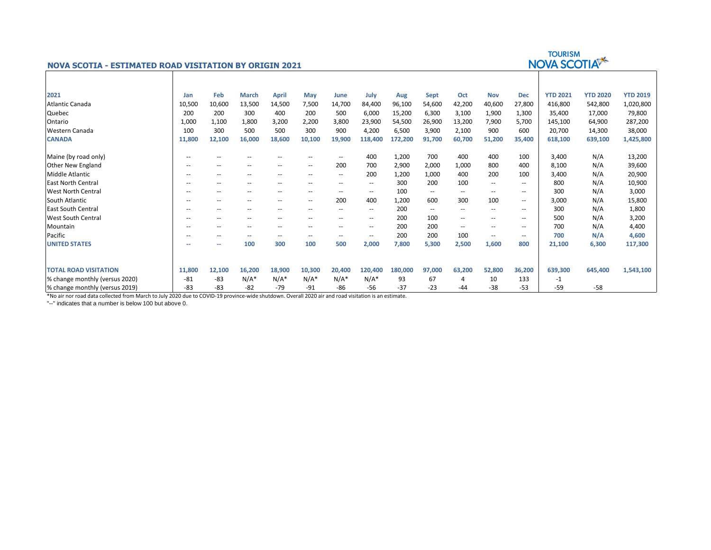

% change monthly (versus 2019) -83 -83 -82 -79 -91 -86 -56 -37 -23 -44 -38 -53 -59 -58

\*No air nor road data collected from March to July 2020 due to COVID-19 province-wide shutdown. Overall 2020 air and road visitation is an estimate.

"--" indicates that a number is below 100 but above 0.